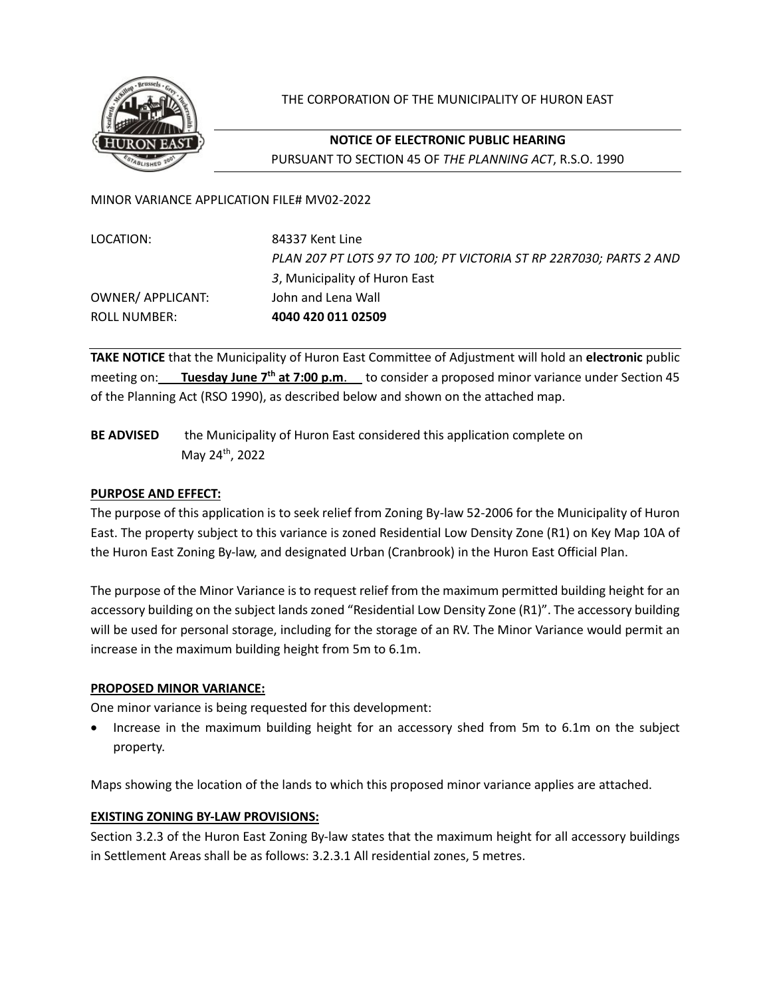

THE CORPORATION OF THE MUNICIPALITY OF HURON EAST

# **NOTICE OF ELECTRONIC PUBLIC HEARING** PURSUANT TO SECTION 45 OF *THE PLANNING ACT*, R.S.O. 1990

MINOR VARIANCE APPLICATION FILE# MV02-2022

LOCATION: 84337 Kent Line *PLAN 207 PT LOTS 97 TO 100; PT VICTORIA ST RP 22R7030; PARTS 2 AND 3*, Municipality of Huron East OWNER/ APPLICANT: John and Lena Wall ROLL NUMBER: **4040 420 011 02509**

**TAKE NOTICE** that the Municipality of Huron East Committee of Adjustment will hold an **electronic** public meeting on: Tuesday June 7<sup>th</sup> at 7:00 p.m. to consider a proposed minor variance under Section 45 of the Planning Act (RSO 1990), as described below and shown on the attached map.

**BE ADVISED** the Municipality of Huron East considered this application complete on May 24th, 2022

## **PURPOSE AND EFFECT:**

The purpose of this application is to seek relief from Zoning By-law 52-2006 for the Municipality of Huron East. The property subject to this variance is zoned Residential Low Density Zone (R1) on Key Map 10A of the Huron East Zoning By-law, and designated Urban (Cranbrook) in the Huron East Official Plan.

The purpose of the Minor Variance is to request relief from the maximum permitted building height for an accessory building on the subject lands zoned "Residential Low Density Zone (R1)". The accessory building will be used for personal storage, including for the storage of an RV. The Minor Variance would permit an increase in the maximum building height from 5m to 6.1m.

## **PROPOSED MINOR VARIANCE:**

One minor variance is being requested for this development:

• Increase in the maximum building height for an accessory shed from 5m to 6.1m on the subject property.

Maps showing the location of the lands to which this proposed minor variance applies are attached.

## **EXISTING ZONING BY-LAW PROVISIONS:**

Section 3.2.3 of the Huron East Zoning By-law states that the maximum height for all accessory buildings in Settlement Areas shall be as follows: 3.2.3.1 All residential zones, 5 metres.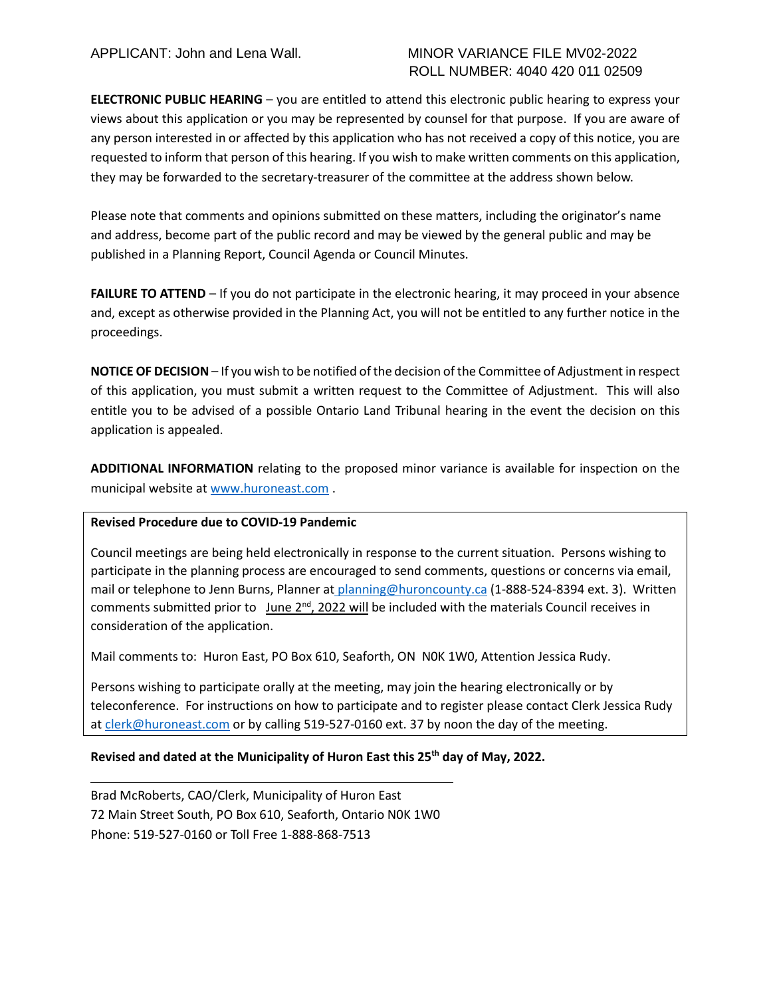## APPLICANT: John and Lena Wall. MINOR VARIANCE FILE MV02-2022 ROLL NUMBER: 4040 420 011 02509

**ELECTRONIC PUBLIC HEARING** – you are entitled to attend this electronic public hearing to express your views about this application or you may be represented by counsel for that purpose. If you are aware of any person interested in or affected by this application who has not received a copy of this notice, you are requested to inform that person of this hearing. If you wish to make written comments on this application, they may be forwarded to the secretary-treasurer of the committee at the address shown below.

Please note that comments and opinions submitted on these matters, including the originator's name and address, become part of the public record and may be viewed by the general public and may be published in a Planning Report, Council Agenda or Council Minutes.

**FAILURE TO ATTEND** – If you do not participate in the electronic hearing, it may proceed in your absence and, except as otherwise provided in the Planning Act, you will not be entitled to any further notice in the proceedings.

**NOTICE OF DECISION** – If you wish to be notified of the decision of the Committee of Adjustment in respect of this application, you must submit a written request to the Committee of Adjustment. This will also entitle you to be advised of a possible Ontario Land Tribunal hearing in the event the decision on this application is appealed.

**ADDITIONAL INFORMATION** relating to the proposed minor variance is available for inspection on the municipal website at [www.huroneast.com](http://www.huroneast.com/) .

## **Revised Procedure due to COVID-19 Pandemic**

Council meetings are being held electronically in response to the current situation. Persons wishing to participate in the planning process are encouraged to send comments, questions or concerns via email, mail or telephone to Jenn Burns, Planner at planning@huroncounty.ca (1-888-524-8394 ext. 3). Written comments submitted prior to June  $2^{nd}$ , 2022 will be included with the materials Council receives in consideration of the application.

Mail comments to: Huron East, PO Box 610, Seaforth, ON N0K 1W0, Attention Jessica Rudy.

Persons wishing to participate orally at the meeting, may join the hearing electronically or by teleconference. For instructions on how to participate and to register please contact Clerk Jessica Rudy at [clerk@huroneast.com](mailto:clerk@huroneast.com) or by calling 519-527-0160 ext. 37 by noon the day of the meeting.

## **Revised and dated at the Municipality of Huron East this 25th day of May, 2022.**

Brad McRoberts, CAO/Clerk, Municipality of Huron East 72 Main Street South, PO Box 610, Seaforth, Ontario N0K 1W0 Phone: 519-527-0160 or Toll Free 1-888-868-7513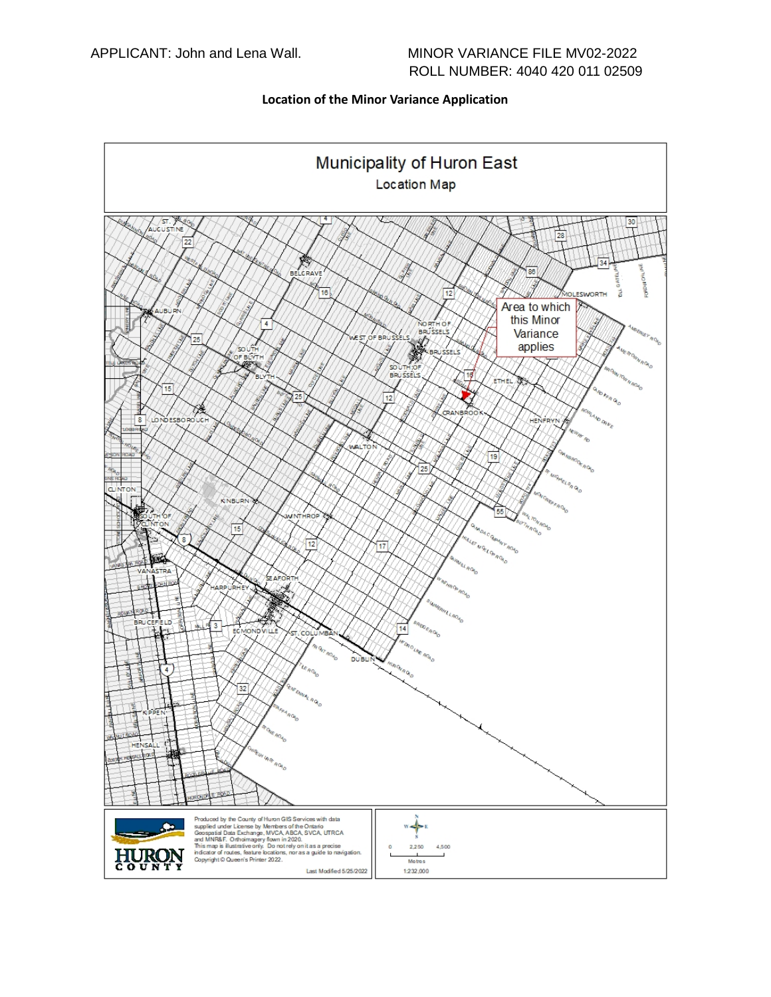#### **Location of the Minor Variance Application**

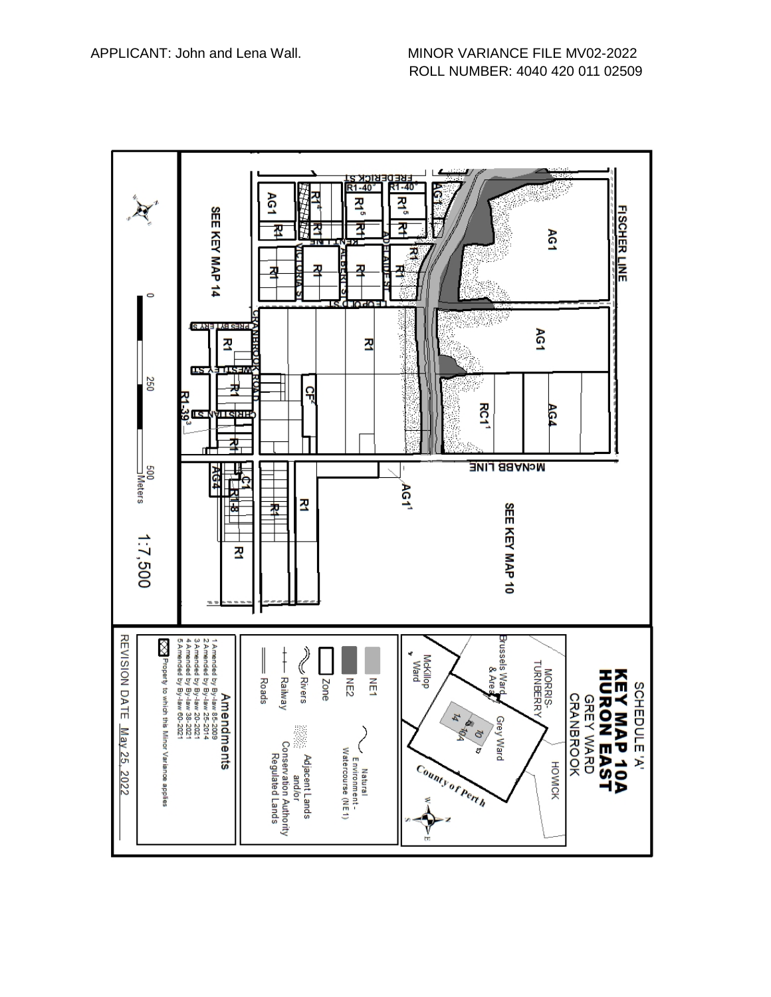